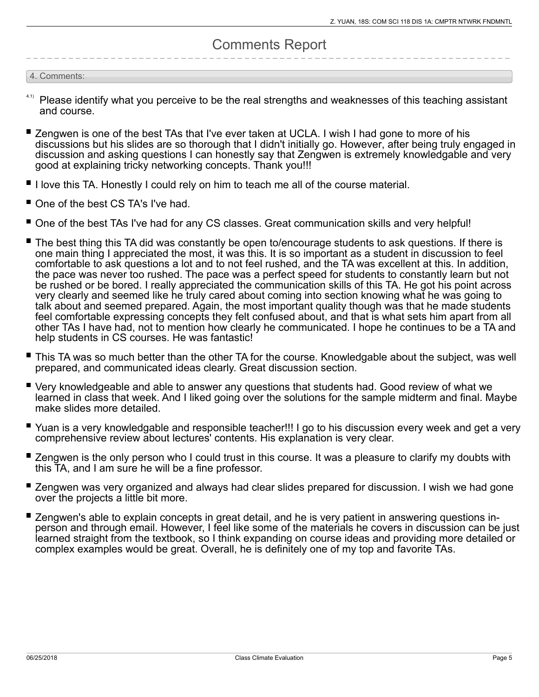## Comments Report

#### 4. Comments:

- Please identify what you perceive to be the real strengths and weaknesses of this teaching assistant and course.
- Zengwen is one of the best TAs that I've ever taken at UCLA. I wish I had gone to more of his discussions but his slides are so thorough that I didn't initially go. However, after being truly engaged in discussion and asking questions I can honestly say that Zengwen is extremely knowledgable and very good at explaining tricky networking concepts. Thank you!!!
- I love this TA. Honestly I could rely on him to teach me all of the course material.
- One of the best CS TA's I've had.
- One of the best TAs I've had for any CS classes. Great communication skills and very helpful!
- The best thing this TA did was constantly be open to/encourage students to ask questions. If there is one main thing I appreciated the most, it was this. It is so important as a student in discussion to feel comfortable to ask questions a lot and to not feel rushed, and the TA was excellent at this. In addition, the pace was never too rushed. The pace was a perfect speed for students to constantly learn but not be rushed or be bored. I really appreciated the communication skills of this TA. He got his point across very clearly and seemed like he truly cared about coming into section knowing what he was going to talk about and seemed prepared. Again, the most important quality though was that he made students feel comfortable expressing concepts they felt confused about, and that is what sets him apart from all other TAs I have had, not to mention how clearly he communicated. I hope he continues to be a TA and help students in CS courses. He was fantastic!
- This TA was so much better than the other TA for the course. Knowledgable about the subject, was well prepared, and communicated ideas clearly. Great discussion section.
- Very knowledgeable and able to answer any questions that students had. Good review of what we learned in class that week. And I liked going over the solutions for the sample midterm and final. Maybe make slides more detailed.
- Yuan is a very knowledgable and responsible teacher!!! I go to his discussion every week and get a very comprehensive review about lectures' contents. His explanation is very clear.
- Zengwen is the only person who I could trust in this course. It was a pleasure to clarify my doubts with this TA, and I am sure he will be a fine professor.
- Zengwen was very organized and always had clear slides prepared for discussion. I wish we had gone over the projects a little bit more.
- Zengwen's able to explain concepts in great detail, and he is very patient in answering questions inperson and through email. However, I feel like some of the materials he covers in discussion can be just learned straight from the textbook, so I think expanding on course ideas and providing more detailed or complex examples would be great. Overall, he is definitely one of my top and favorite TAs.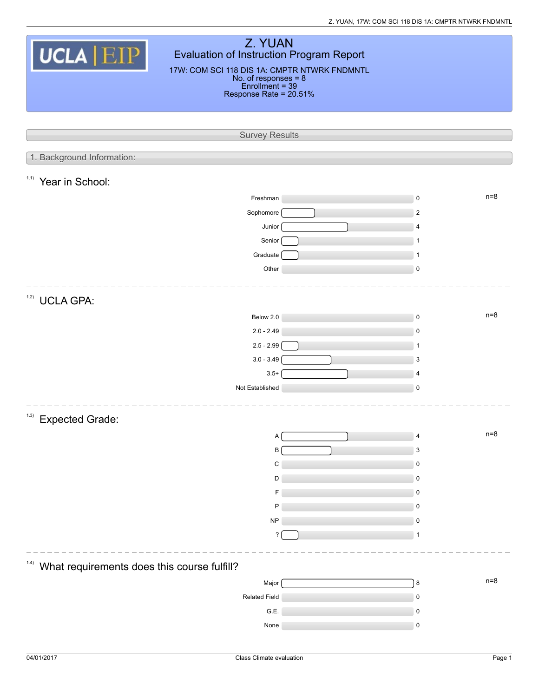| Z. YUAN<br>UCLA EIP<br>Evaluation of Instruction Program Report<br>17W: COM SCI 118 DIS 1A: CMPTR NTWRK FNDMNTL<br>No. of responses $= 8$<br>Enrollment = 39<br>Response Rate = 20.51% |  |                          |  |  |  |  |  |  |  |
|----------------------------------------------------------------------------------------------------------------------------------------------------------------------------------------|--|--------------------------|--|--|--|--|--|--|--|
| <b>Survey Results</b>                                                                                                                                                                  |  |                          |  |  |  |  |  |  |  |
|                                                                                                                                                                                        |  |                          |  |  |  |  |  |  |  |
| 1. Background Information:                                                                                                                                                             |  |                          |  |  |  |  |  |  |  |
| 1.1)<br>Year in School:                                                                                                                                                                |  |                          |  |  |  |  |  |  |  |
| Freshman                                                                                                                                                                               |  | $n=8$<br>$\mathsf 0$     |  |  |  |  |  |  |  |
| Sophomore                                                                                                                                                                              |  | $\overline{2}$           |  |  |  |  |  |  |  |
| Junior                                                                                                                                                                                 |  | 4                        |  |  |  |  |  |  |  |
| Senior                                                                                                                                                                                 |  | $\mathbf{1}$             |  |  |  |  |  |  |  |
| Graduate                                                                                                                                                                               |  | -1                       |  |  |  |  |  |  |  |
| Other                                                                                                                                                                                  |  | 0                        |  |  |  |  |  |  |  |
| 1.2)<br><b>UCLA GPA:</b>                                                                                                                                                               |  |                          |  |  |  |  |  |  |  |
| Below 2.0                                                                                                                                                                              |  | $n=8$<br>$\mathsf 0$     |  |  |  |  |  |  |  |
| $2.0 - 2.49$                                                                                                                                                                           |  | $\pmb{0}$                |  |  |  |  |  |  |  |
| $2.5 - 2.99$                                                                                                                                                                           |  | $\mathbf{1}$             |  |  |  |  |  |  |  |
| $3.0 - 3.49$                                                                                                                                                                           |  | 3                        |  |  |  |  |  |  |  |
| $3.5+$                                                                                                                                                                                 |  | 4                        |  |  |  |  |  |  |  |
| Not Established                                                                                                                                                                        |  | $\mathsf 0$              |  |  |  |  |  |  |  |
| (1.3)<br><b>Expected Grade:</b>                                                                                                                                                        |  |                          |  |  |  |  |  |  |  |
| Α                                                                                                                                                                                      |  | $n=8$<br>$\overline{4}$  |  |  |  |  |  |  |  |
| B                                                                                                                                                                                      |  | 3                        |  |  |  |  |  |  |  |
| C                                                                                                                                                                                      |  | 0                        |  |  |  |  |  |  |  |
| D                                                                                                                                                                                      |  | $\pmb{0}$                |  |  |  |  |  |  |  |
| F<br>P                                                                                                                                                                                 |  | $\pmb{0}$<br>$\mathbf 0$ |  |  |  |  |  |  |  |
| <b>NP</b>                                                                                                                                                                              |  | 0                        |  |  |  |  |  |  |  |
| ?                                                                                                                                                                                      |  | 1                        |  |  |  |  |  |  |  |
|                                                                                                                                                                                        |  |                          |  |  |  |  |  |  |  |
| (1.4)<br>What requirements does this course fulfill?                                                                                                                                   |  |                          |  |  |  |  |  |  |  |
| Major                                                                                                                                                                                  |  | $n=8$<br>8               |  |  |  |  |  |  |  |
| Related Field                                                                                                                                                                          |  | $\pmb{0}$                |  |  |  |  |  |  |  |
| G.E.                                                                                                                                                                                   |  | $\pmb{0}$                |  |  |  |  |  |  |  |
| None                                                                                                                                                                                   |  | 0                        |  |  |  |  |  |  |  |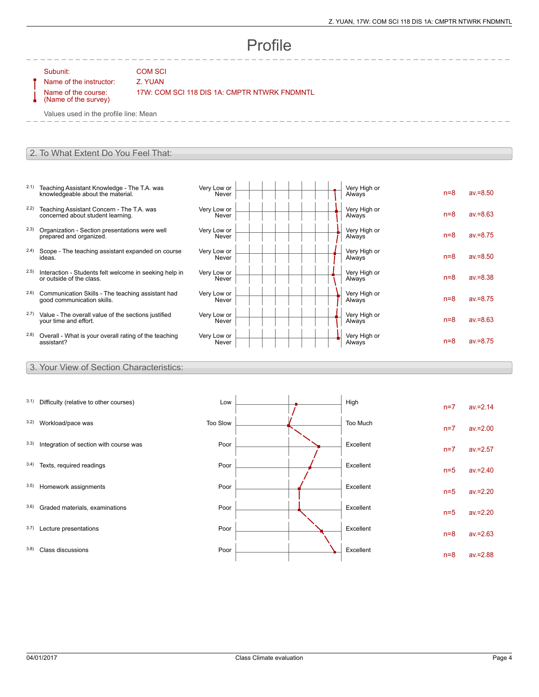very High of the control of the n=8 av.=8.75

Net y High of the contract of the n=8 av.=8.50

Net y High of the set of the n=8 av.=8.38

Always **n=8** av.=8.75

 $n=8$  av.=8.50

 $n=8$  av.=8.63

Very High or

Very High or

Very High or

Very High or

Very High or

Very High or

# Profile

Subunit: COM SCI

Name of the instructor: Z. YUAN Name of the course: (Name of the survey)

17W: COM SCI 118 DIS 1A: CMPTR NTWRK FNDMNTL

Very Low or Never

Very Low or Never

Very Low or **Never** 

Very Low or **Never** 

Very Low or Never

Very Low or Never

Values used in the profile line: Mean

#### 2. To What Extent Do You Feel That:

- 2.1) Teaching Assistant Knowledge The T.A. was knowledgeable about the material.
- 2.2) Teaching Assistant Concern The T.A. was concerned about student learning.
- 2.3) Organization Section presentations were well prepared and organized.
- 2.4) Scope The teaching assistant expanded on course ideas.
- 2.5) Interaction Students felt welcome in seeking help in or outside of the class.
- 2.6) Communication Skills The teaching assistant had good communication skills.
- <sup>2.7)</sup> Value The overall value of the sections justified your
- <sup>2.8)</sup> Overall What is your overall rating of the teaching assis

### 3. You

| 2.7) | Value - The overall value of the sections justified<br>your time and effort. | Very Low or<br>Never |  | Very High or<br><b>Always</b> | $n=8$ | $av = 8.63$ |
|------|------------------------------------------------------------------------------|----------------------|--|-------------------------------|-------|-------------|
| 2.8) | Overall - What is your overall rating of the teaching<br>assistant?          | Very Low or<br>Never |  | Very High or<br>Always        | $n=8$ | $av = 8.75$ |
|      | 3. Your View of Section Characteristics:                                     |                      |  |                               |       |             |
|      |                                                                              |                      |  |                               |       |             |
|      |                                                                              |                      |  |                               |       |             |
|      | 3.1) Difficulty (relative to other courses)                                  | Low                  |  | High                          |       |             |
|      |                                                                              |                      |  |                               | $n=7$ | $av = 2.14$ |
|      | 3.2) Workload/pace was                                                       | Too Slow             |  | Too Much                      |       | $av = 2.00$ |
|      |                                                                              |                      |  |                               | $n=7$ |             |
|      | 3.3) Integration of section with course was                                  | Poor                 |  | Excellent                     | $n=7$ | $av = 2.57$ |
|      |                                                                              |                      |  |                               |       |             |
|      | 3.4) Texts, required readings                                                | Poor                 |  | Excellent                     | $n=5$ | $av = 2.40$ |
|      | 3.5) Homework assignments                                                    | Poor                 |  | Excellent                     |       |             |
|      |                                                                              |                      |  |                               | $n=5$ | $av = 2.20$ |
|      | 3.6) Graded materials, examinations                                          | Poor                 |  | Excellent                     |       |             |
|      |                                                                              |                      |  |                               | $n=5$ | $av = 2.20$ |
|      | 3.7) Lecture presentations                                                   | Poor                 |  | Excellent                     | $n=8$ | $av = 2.63$ |
|      |                                                                              |                      |  |                               |       |             |
|      | 3.8) Class discussions                                                       | Poor                 |  | Excellent                     | $n=8$ | $av = 2.88$ |
|      |                                                                              |                      |  |                               |       |             |